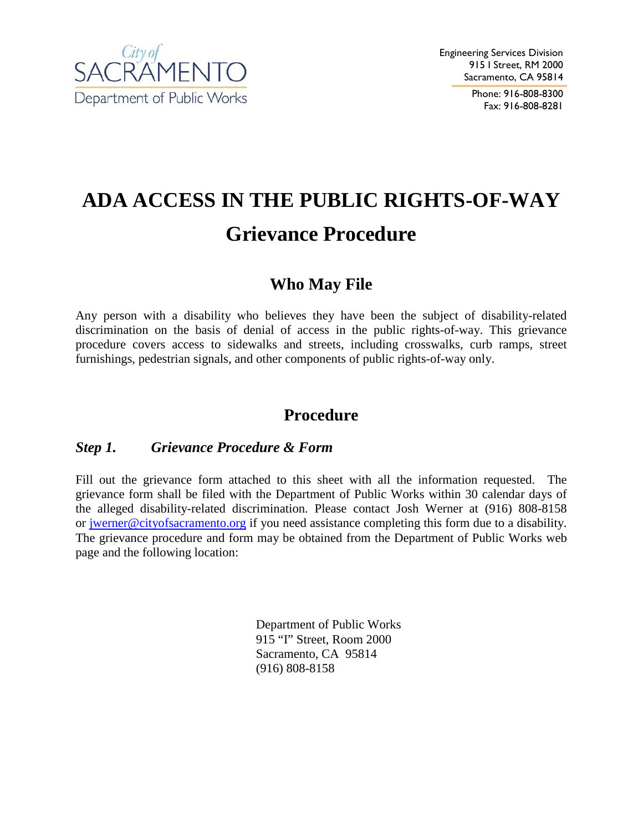

Phone: 916-808-8300 Fax: 916-808-8281

# **ADA ACCESS IN THE PUBLIC RIGHTS-OF-WAY Grievance Procedure**

## **Who May File**

Any person with a disability who believes they have been the subject of disability-related discrimination on the basis of denial of access in the public rights-of-way. This grievance procedure covers access to sidewalks and streets, including crosswalks, curb ramps, street furnishings, pedestrian signals, and other components of public rights-of-way only.

### **Procedure**

#### *Step 1. Grievance Procedure & Form*

Fill out the grievance form attached to this sheet with all the information requested. The grievance form shall be filed with the Department of Public Works within 30 calendar days of the alleged disability-related discrimination. Please contact Josh Werner at (916) 808-8158 or jwerner@cityofsacramento.org if you need assistance completing this form due to a disability. The grievance procedure and form may be obtained from the Department of Public Works web page and the following location:

> Department of Public Works 915 "I" Street, Room 2000 Sacramento, CA 95814 (916) 808-8158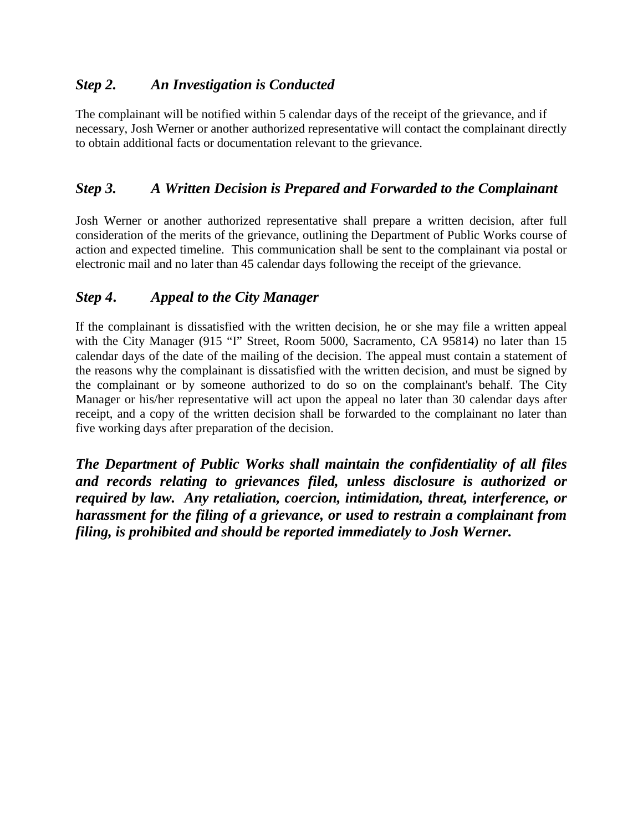#### *Step 2. An Investigation is Conducted*

The complainant will be notified within 5 calendar days of the receipt of the grievance, and if necessary, Josh Werner or another authorized representative will contact the complainant directly to obtain additional facts or documentation relevant to the grievance.

#### *Step 3. A Written Decision is Prepared and Forwarded to the Complainant*

Josh Werner or another authorized representative shall prepare a written decision, after full consideration of the merits of the grievance, outlining the Department of Public Works course of action and expected timeline. This communication shall be sent to the complainant via postal or electronic mail and no later than 45 calendar days following the receipt of the grievance.

#### *Step 4 . Appeal to the City Manager*

If the complainant is dissatisfied with the written decision, he or she may file a written appeal with the City Manager (915 "I" Street, Room 5000, Sacramento, CA 95814) no later than 15 calendar days of the date of the mailing of the decision. The appeal must contain a statement of the reasons why the complainant is dissatisfied with the written decision, and must be signed by the complainant or by someone authorized to do so on the complainant's behalf. The City Manager or his/her representative will act upon the appeal no later than 30 calendar days after receipt, and a copy of the written decision shall be forwarded to the complainant no later than five working days after preparation of the decision.

*The Department of Public Works shall maintain the confidentiality of all files and records relating to grievances filed, unless disclosure is authorized or required by law. Any retaliation, coercion, intimidation, threat, interference, or harassment for the filing of a grievance, or used to restrain a complainant from filing, is prohibited and should be reported immediately to Josh Werner.*